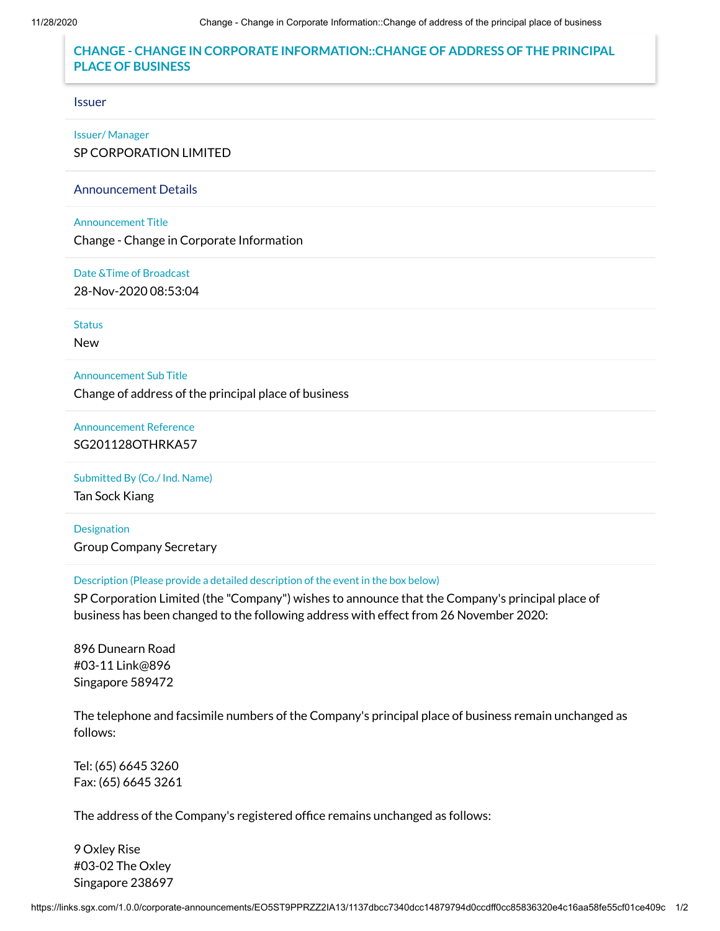# **CHANGE - CHANGE IN CORPORATE INFORMATION::CHANGE OF ADDRESS OF THE PRINCIPAL PLACE OF BUSINESS**

### Issuer

# Issuer/ Manager

SP CORPORATION LIMITED

#### Announcement Details

## Announcement Title

Change - Change in Corporate Information

#### Date &Time of Broadcast

28-Nov-2020 08:53:04

Status

New

## Announcement Sub Title

Change of address of the principal place of business

Announcement Reference SG201128OTHRKA57

## Submitted By (Co./ Ind. Name)

Tan Sock Kiang

Designation Group Company Secretary

## Description (Please provide a detailed description of the event in the box below)

SP Corporation Limited (the "Company") wishes to announce that the Company's principal place of business has been changed to the following address with effect from 26 November 2020:

896 Dunearn Road #03-11 Link@896 Singapore 589472

The telephone and facsimile numbers of the Company's principal place of business remain unchanged as follows:

Tel: (65) 6645 3260 Fax: (65) 6645 3261

The address of the Company's registered office remains unchanged as follows:

9 Oxley Rise #03-02 The Oxley Singapore 238697